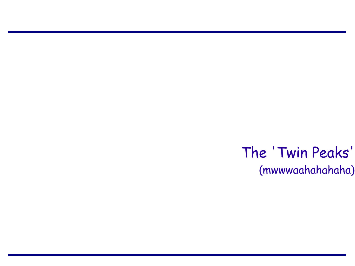The 'Twin Peaks' (mwwwaahahahaha)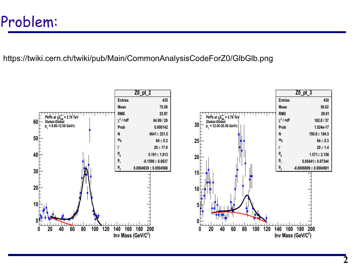#### Problem:

#### https://twiki.cern.ch/twiki/pub/Main/CommonAnalysisCodeForZ0/GlbGlb.png

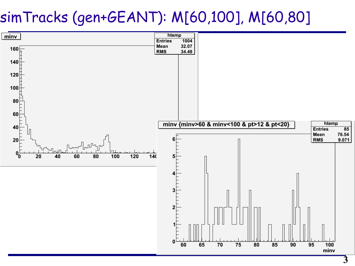## simTracks (gen+GEANT): M[60,100], M[60,80]

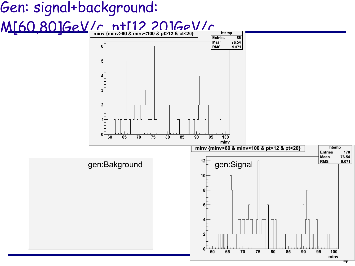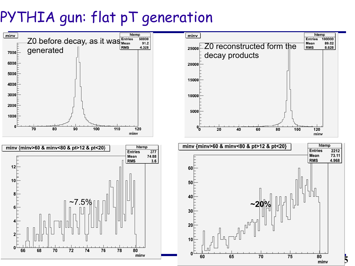# PYTHIA gun: flat pT generation

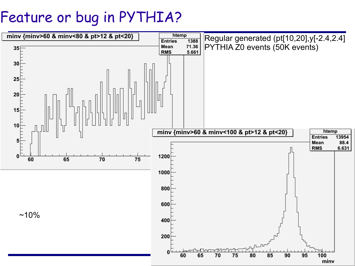## Feature or bug in PYTHIA?

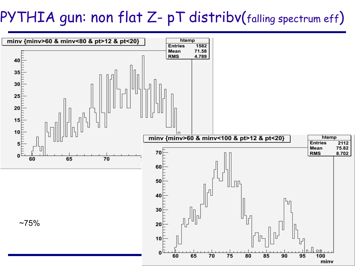# PYTHIA gun: non flat Z- pT distribv(falling spectrum eff)

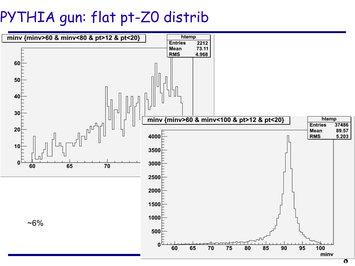# PYTHIA gun: flat pt-Z0 distrib

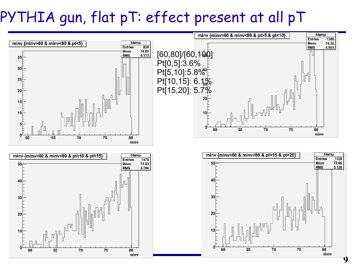# PYTHIA gun, flat pT: effect present at all pT





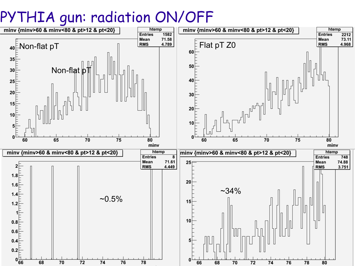## PYTHIA gun: radiation ON/OFF

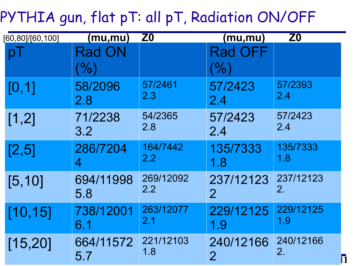# PYTHIA gun, flat pT: all pT, Radiation ON/OFF

| [60, 80]/[60, 100] | (mu,mu)       | Z <sub>0</sub> | <u>(mu,mu)</u> | Z <sub>0</sub> |
|--------------------|---------------|----------------|----------------|----------------|
|                    | <b>Rad ON</b> |                | <b>Rad OFF</b> |                |
|                    | $(\% )$       |                | $\frac{0}{2}$  |                |
| [0, 1]             | 58/2096       | 57/2461        | 57/2423        | 57/2393        |
|                    | 2.8           | 2.3            | 2.4            | 2.4            |
| [1,2]              | 71/2238       | 54/2365        | 57/2423        | 57/2423        |
|                    | 3.2           | 2.8            | 2.4            | 2.4            |
| [2,5]              | 286/7204      | 164/7442       | 135/7333       | 135/7333       |
|                    | 4             | 2.2            | 1.8            | 1.8            |
| [5, 10]            | 694/11998     | 269/12092      | 237/12123      | 237/12123      |
|                    | 5.8           | 2.2            | $\overline{2}$ | 2.             |
| [10, 15]           | 738/12001     | 263/12077      | 229/12125      | 229/12125      |
|                    | 6.1           | 2.1            | 1.9            | 1.9            |
| [15, 20]           | 664/11572     | 221/12103      | 240/12166      | 240/12166      |
|                    | 5.7           | 1.8            | $\overline{2}$ | 2.             |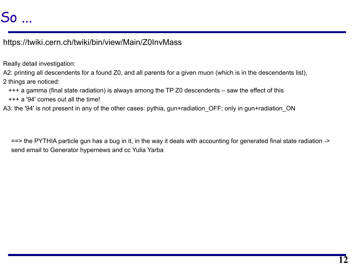### So ...

https://twiki.cern.ch/twiki/bin/view/Main/Z0InvMass

Really detail investigation:

A2: printing all descendents for a found Z0, and all parents for a given muon (which is in the descendents list), 2 things are noticed:

- +++ a gamma (final state radiation) is always among the TP Z0 descendents saw the effect of this
- +++ a '94' comes out all the time!
- A3: the '94' is not present in any of the other cases: pythia, gun+radiation OFF; only in gun+radiation ON

==> the PYTHIA particle gun has a bug in it, in the way it deals with accounting for generated final state radiation -> send email to Generator hypernews and cc Yulia Yarba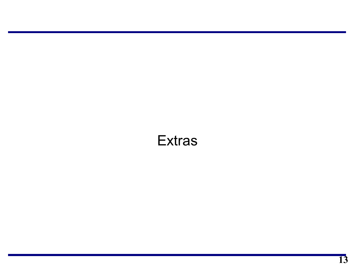#### **Extras**